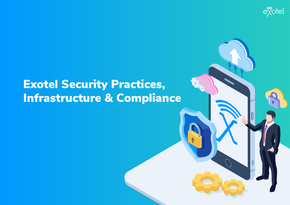

### Exotel Security Practices, Infrastructure & Compliance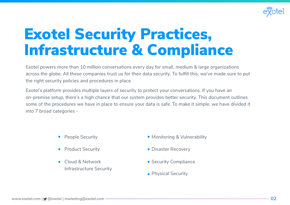

### Exotel Security Practices, Infrastructure & Compliance

Exotel powers more than 10 million conversations every day for small, medium & large organizations across the globe. All these companies trust us for their data security. To fulfill this, we've made sure to put the right security policies and procedures in place.

Exotel's platform provides multiple layers of security to protect your conversations. If you have an on-premise setup, there's a high chance that our system provides better security. This document outlines some of the procedures we have in place to ensure your data is safe. To make it simple, we have divided it into 7 broad categories -

- People Security
- Product Security
- Cloud & Network Infrastructure Security
- Monitoring & Vulnerability
- Disaster Recovery
- Security Compliance
- **Physical Security**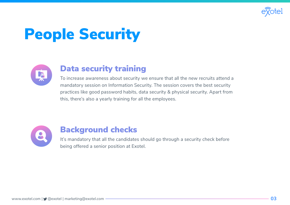

# People Security



### Data security training

To increase awareness about security we ensure that all the new recruits attend a mandatory session on Information Security. The session covers the best security practices like good password habits, data security & physical security. Apart from this, there's also a yearly training for all the employees.



### Background checks

It's mandatory that all the candidates should go through a security check before being offered a senior position at Exotel.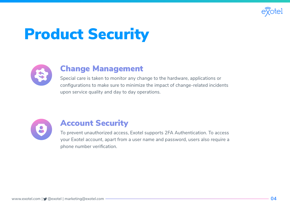

## Product Security



### Change Management

Special care is taken to monitor any change to the hardware, applications or configurations to make sure to minimize the impact of change-related incidents upon service quality and day to day operations.



### Account Security

To prevent unauthorized access, Exotel supports 2FA Authentication. To access your Exotel account, apart from a user name and password, users also require a phone number verification.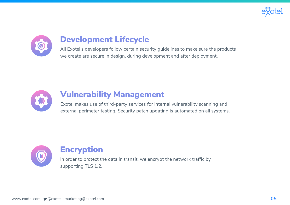



### Development Lifecycle

All Exotel's developers follow certain security guidelines to make sure the products we create are secure in design, during development and after deployment.



### Vulnerability Management

Exotel makes use of third-party services for Internal vulnerability scanning and external perimeter testing. Security patch updating is automated on all systems.



### **Encryption**

In order to protect the data in transit, we encrypt the network traffic by supporting TLS 1.2.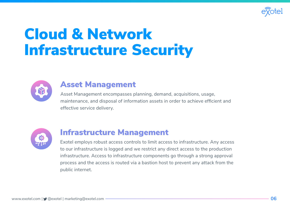

### Cloud & Network Infrastructure Security



#### Asset Management

Asset Management encompasses planning, demand, acquisitions, usage, maintenance, and disposal of information assets in order to achieve efficient and effective service delivery.



### Infrastructure Management

Exotel employs robust access controls to limit access to infrastructure. Any access to our infrastructure is logged and we restrict any direct access to the production infrastructure. Access to infrastructure components go through a strong approval process and the access is routed via a bastion host to prevent any attack from the public internet.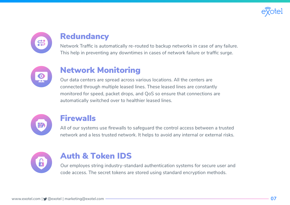



### **Redundancy**

Network Traffic is automatically re-routed to backup networks in case of any failure. This help in preventing any downtimes in cases of network failure or traffic surge.



### Network Monitoring

Our data centers are spread across various locations. All the centers are connected through multiple leased lines. These leased lines are constantly monitored for speed, packet drops, and QoS so ensure that connections are automatically switched over to healthier leased lines.



#### **Firewalls**

All of our systems use firewalls to safeguard the control access between a trusted network and a less trusted network. It helps to avoid any internal or external risks.



### Auth & Token IDS

Our employes string industry-standard authentication systems for secure user and code access. The secret tokens are stored using standard encryption methods.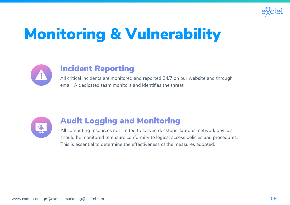

# Monitoring & Vulnerability



### Incident Reporting

All critical incidents are monitored and reported 24/7 on our website and through email. A dedicated team monitors and identifies the threat.



### Audit Logging and Monitoring

All computing resources not limited to server, desktops, laptops, network devices should be monitored to ensure conformity to logical access policies and procedures. This is essential to determine the effectiveness of the measures adopted.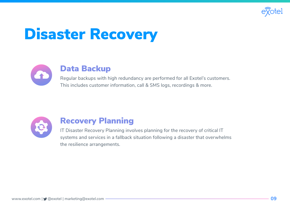

### Disaster Recovery



#### Data Backup

Regular backups with high redundancy are performed for all Exotel's customers. This includes customer information, call & SMS logs, recordings & more.



### Recovery Planning

IT Disaster Recovery Planning involves planning for the recovery of critical IT systems and services in a fallback situation following a disaster that overwhelms the resilience arrangements.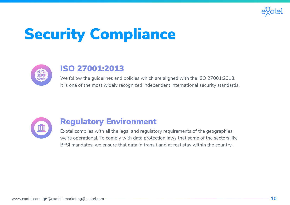

## Security Compliance



#### ISO 27001:2013

We follow the guidelines and policies which are aligned with the ISO 27001:2013. It is one of the most widely recognized independent international security standards.



### Regulatory Environment

Exotel complies with all the legal and regulatory requirements of the geographies we're operational. To comply with data protection laws that some of the sectors like BFSI mandates, we ensure that data in transit and at rest stay within the country.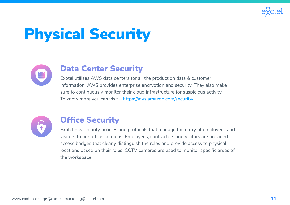

# Physical Security



### Data Center Security

Exotel utilizes AWS data centers for all the production data & customer information. AWS provides enterprise encryption and security. They also make sure to continuously monitor their cloud infrastructure for suspicious activity. To know more you can visit – https://aws.amazon.com/security/



### Office Security

Exotel has security policies and protocols that manage the entry of employees and visitors to our office locations. Employees, contractors and visitors are provided access badges that clearly distinguish the roles and provide access to physical locations based on their roles. CCTV cameras are used to monitor specific areas of the workspace.